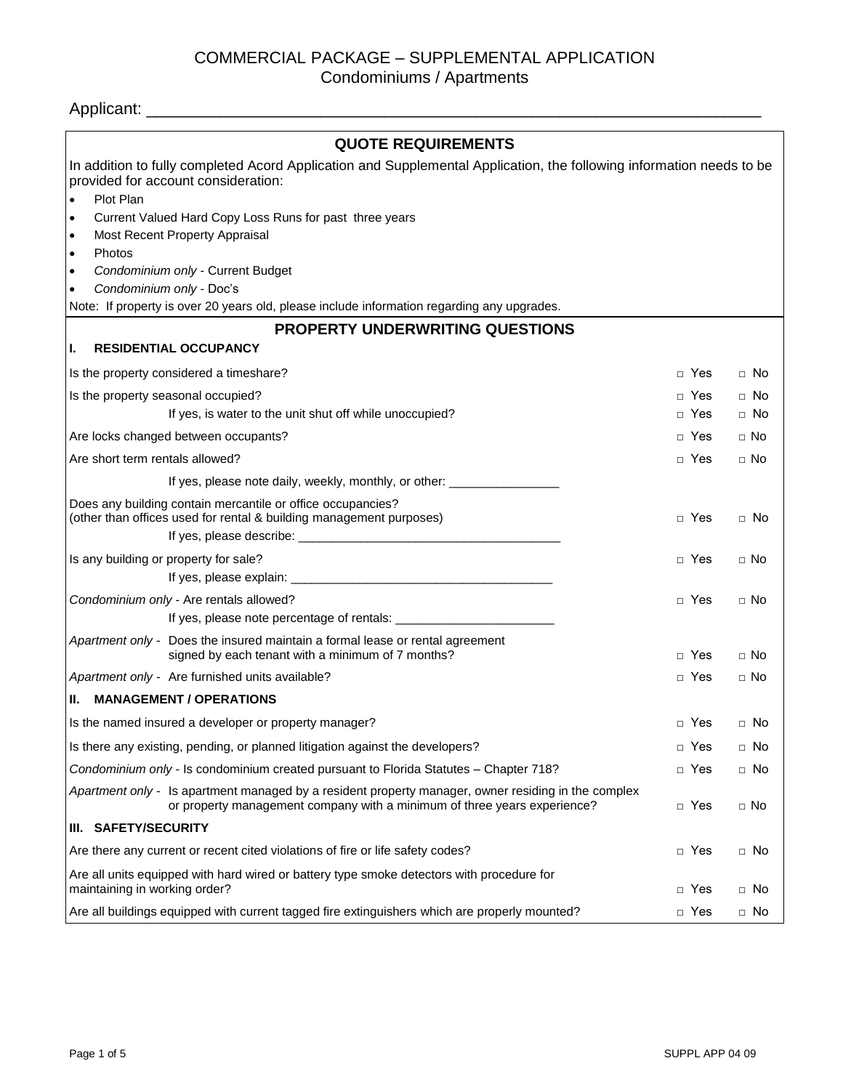### COMMERCIAL PACKAGE – SUPPLEMENTAL APPLICATION Condominiums / Apartments

<u> 1989 - Johann Stoff, amerikansk politiker (d. 1989)</u>

| <b>QUOTE REQUIREMENTS</b>                                                                                                                                                       |            |           |  |  |  |
|---------------------------------------------------------------------------------------------------------------------------------------------------------------------------------|------------|-----------|--|--|--|
| In addition to fully completed Acord Application and Supplemental Application, the following information needs to be<br>provided for account consideration:                     |            |           |  |  |  |
| Plot Plan<br>$\bullet$                                                                                                                                                          |            |           |  |  |  |
| Current Valued Hard Copy Loss Runs for past three years<br>$\bullet$                                                                                                            |            |           |  |  |  |
| Most Recent Property Appraisal<br>$\bullet$                                                                                                                                     |            |           |  |  |  |
| Photos<br>$\bullet$                                                                                                                                                             |            |           |  |  |  |
| Condominium only - Current Budget<br>$\bullet$                                                                                                                                  |            |           |  |  |  |
| Condominium only - Doc's<br>$\bullet$<br>Note: If property is over 20 years old, please include information regarding any upgrades.                                             |            |           |  |  |  |
|                                                                                                                                                                                 |            |           |  |  |  |
| <b>PROPERTY UNDERWRITING QUESTIONS</b><br><b>RESIDENTIAL OCCUPANCY</b><br>ı.                                                                                                    |            |           |  |  |  |
|                                                                                                                                                                                 |            |           |  |  |  |
| Is the property considered a timeshare?                                                                                                                                         | □ Yes      | $\Box$ No |  |  |  |
| Is the property seasonal occupied?                                                                                                                                              | □ Yes      | $\Box$ No |  |  |  |
| If yes, is water to the unit shut off while unoccupied?                                                                                                                         | □ Yes      | $\Box$ No |  |  |  |
| Are locks changed between occupants?                                                                                                                                            | □ Yes      | $\Box$ No |  |  |  |
| Are short term rentals allowed?                                                                                                                                                 | □ Yes      | $\Box$ No |  |  |  |
| If yes, please note daily, weekly, monthly, or other: __________________________                                                                                                |            |           |  |  |  |
| Does any building contain mercantile or office occupancies?<br>(other than offices used for rental & building management purposes)                                              | □ Yes      | $\Box$ No |  |  |  |
|                                                                                                                                                                                 |            |           |  |  |  |
| Is any building or property for sale?                                                                                                                                           | □ Yes      | $\Box$ No |  |  |  |
|                                                                                                                                                                                 |            |           |  |  |  |
| Condominium only - Are rentals allowed?                                                                                                                                         | □ Yes      | $\Box$ No |  |  |  |
|                                                                                                                                                                                 |            |           |  |  |  |
| Apartment only - Does the insured maintain a formal lease or rental agreement<br>signed by each tenant with a minimum of 7 months?                                              | □ Yes      | $\Box$ No |  |  |  |
| Apartment only - Are furnished units available?                                                                                                                                 | □ Yes      | $\Box$ No |  |  |  |
| <b>MANAGEMENT / OPERATIONS</b><br>II. I                                                                                                                                         |            |           |  |  |  |
| Is the named insured a developer or property manager?                                                                                                                           | □ Yes      | $\Box$ No |  |  |  |
| Is there any existing, pending, or planned litigation against the developers?                                                                                                   | □ Yes      | $\Box$ No |  |  |  |
| Condominium only - Is condominium created pursuant to Florida Statutes - Chapter 718?                                                                                           | □ Yes      | $\Box$ No |  |  |  |
| Apartment only - Is apartment managed by a resident property manager, owner residing in the complex<br>or property management company with a minimum of three years experience? | $\Box$ Yes | $\Box$ No |  |  |  |
| III. SAFETY/SECURITY                                                                                                                                                            |            |           |  |  |  |
| Are there any current or recent cited violations of fire or life safety codes?                                                                                                  | □ Yes      | $\Box$ No |  |  |  |
| Are all units equipped with hard wired or battery type smoke detectors with procedure for<br>maintaining in working order?                                                      | □ Yes      | $\Box$ No |  |  |  |
| Are all buildings equipped with current tagged fire extinguishers which are properly mounted?                                                                                   | □ Yes      | $\Box$ No |  |  |  |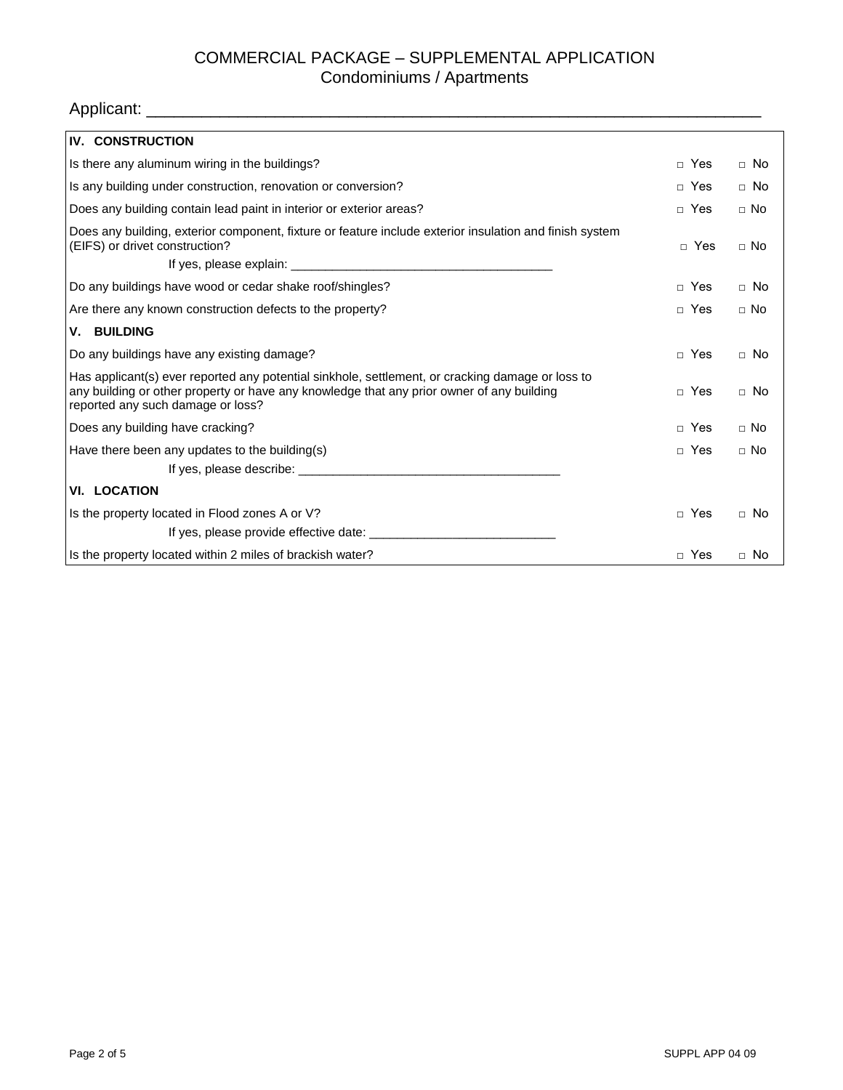## COMMERCIAL PACKAGE – SUPPLEMENTAL APPLICATION Condominiums / Apartments

| IV. CONSTRUCTION                                                                                                                                                                                                                   |                  |             |
|------------------------------------------------------------------------------------------------------------------------------------------------------------------------------------------------------------------------------------|------------------|-------------|
| Is there any aluminum wiring in the buildings?                                                                                                                                                                                     | $\mathsf{M}$ Yes | $\Box$ No   |
| Is any building under construction, renovation or conversion?                                                                                                                                                                      | □ Yes            | $\Box$ No   |
| Does any building contain lead paint in interior or exterior areas?                                                                                                                                                                | $\Box$ Yes       | $\Box$ No   |
| Does any building, exterior component, fixture or feature include exterior insulation and finish system<br>(EIFS) or drivet construction?                                                                                          | $\Box$ Yes       | $\sqcap$ No |
|                                                                                                                                                                                                                                    |                  |             |
| Do any buildings have wood or cedar shake roof/shingles?                                                                                                                                                                           | □ Yes            | $\Box$ No   |
| Are there any known construction defects to the property?                                                                                                                                                                          | □ Yes            | $\Box$ No   |
| V. BUILDING                                                                                                                                                                                                                        |                  |             |
| Do any buildings have any existing damage?                                                                                                                                                                                         | □ Yes            | $\Box$ No   |
| Has applicant(s) ever reported any potential sinkhole, settlement, or cracking damage or loss to<br>any building or other property or have any knowledge that any prior owner of any building<br>reported any such damage or loss? | □ Yes            | $\Box$ No   |
| Does any building have cracking?                                                                                                                                                                                                   | $\mathsf{M}$ Yes | $\Box$ No   |
| Have there been any updates to the building(s)                                                                                                                                                                                     | □ Yes            | $\Box$ No   |
|                                                                                                                                                                                                                                    |                  |             |
| <b>VI. LOCATION</b>                                                                                                                                                                                                                |                  |             |
| Is the property located in Flood zones A or V?                                                                                                                                                                                     | □ Yes            | □ No        |
| If yes, please provide effective date:                                                                                                                                                                                             |                  |             |
| Is the property located within 2 miles of brackish water?                                                                                                                                                                          | □ Yes            | $\Box$ No   |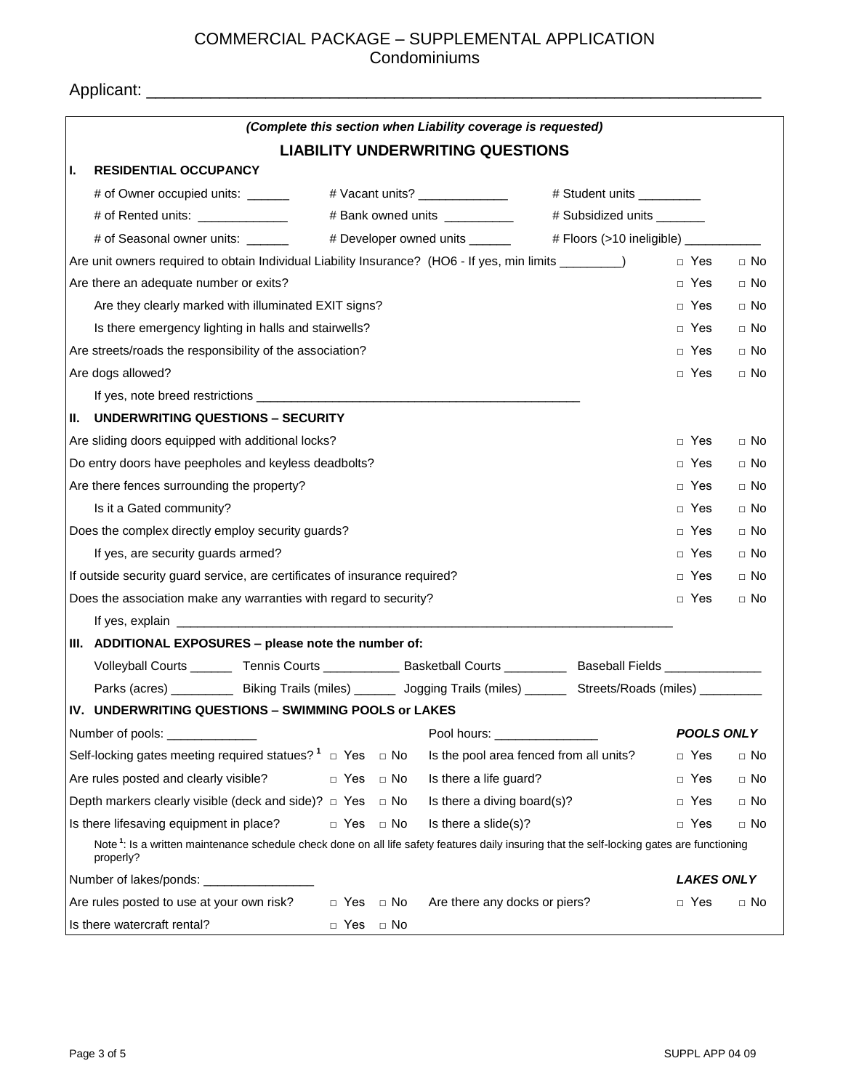### COMMERCIAL PACKAGE – SUPPLEMENTAL APPLICATION **Condominiums**

|                                                                                                                                                                      |                      |                                                                                                                      | (Complete this section when Liability coverage is requested) |                                         |                   |           |  |
|----------------------------------------------------------------------------------------------------------------------------------------------------------------------|----------------------|----------------------------------------------------------------------------------------------------------------------|--------------------------------------------------------------|-----------------------------------------|-------------------|-----------|--|
| <b>LIABILITY UNDERWRITING QUESTIONS</b>                                                                                                                              |                      |                                                                                                                      |                                                              |                                         |                   |           |  |
| <b>RESIDENTIAL OCCUPANCY</b><br>L.                                                                                                                                   |                      |                                                                                                                      |                                                              |                                         |                   |           |  |
| # of Owner occupied units: ______                                                                                                                                    |                      |                                                                                                                      | # Vacant units? _______________                              | # Student units                         |                   |           |  |
| # of Rented units: $\frac{1}{2}$ metal in the set of Rented units:                                                                                                   |                      |                                                                                                                      | # Bank owned units ___________                               | # Subsidized units _______              |                   |           |  |
| # of Seasonal owner units: ______                                                                                                                                    |                      |                                                                                                                      | # Developer owned units _______                              | # Floors (>10 ineligible) _____________ |                   |           |  |
| Are unit owners required to obtain Individual Liability Insurance? (HO6 - If yes, min limits ________)                                                               |                      |                                                                                                                      |                                                              |                                         | □ Yes             | $\Box$ No |  |
| Are there an adequate number or exits?                                                                                                                               |                      |                                                                                                                      |                                                              |                                         | □ Yes             | $\Box$ No |  |
| Are they clearly marked with illuminated EXIT signs?                                                                                                                 |                      |                                                                                                                      |                                                              |                                         | □ Yes             | $\Box$ No |  |
| Is there emergency lighting in halls and stairwells?                                                                                                                 |                      |                                                                                                                      |                                                              |                                         | □ Yes             | $\Box$ No |  |
| Are streets/roads the responsibility of the association?                                                                                                             |                      |                                                                                                                      |                                                              |                                         | □ Yes             | $\Box$ No |  |
| Are dogs allowed?                                                                                                                                                    |                      |                                                                                                                      |                                                              |                                         | □ Yes             | $\Box$ No |  |
|                                                                                                                                                                      |                      |                                                                                                                      |                                                              |                                         |                   |           |  |
| <u>II. UNDERWRITING QUESTIONS – SECURITY</u>                                                                                                                         |                      |                                                                                                                      |                                                              |                                         |                   |           |  |
| Are sliding doors equipped with additional locks?                                                                                                                    |                      |                                                                                                                      |                                                              |                                         | □ Yes             | $\Box$ No |  |
| Do entry doors have peepholes and keyless deadbolts?                                                                                                                 |                      |                                                                                                                      |                                                              |                                         | □ Yes             | $\Box$ No |  |
| Are there fences surrounding the property?                                                                                                                           |                      |                                                                                                                      |                                                              |                                         | □ Yes             | $\Box$ No |  |
| Is it a Gated community?                                                                                                                                             |                      |                                                                                                                      |                                                              |                                         | □ Yes             | $\Box$ No |  |
| Does the complex directly employ security guards?                                                                                                                    |                      |                                                                                                                      |                                                              |                                         | □ Yes             | $\Box$ No |  |
| If yes, are security guards armed?                                                                                                                                   |                      |                                                                                                                      |                                                              |                                         | □ Yes             | $\Box$ No |  |
| If outside security guard service, are certificates of insurance required?                                                                                           |                      |                                                                                                                      |                                                              |                                         | □ Yes             | $\Box$ No |  |
| Does the association make any warranties with regard to security?                                                                                                    |                      |                                                                                                                      | □ Yes                                                        | $\Box$ No                               |                   |           |  |
|                                                                                                                                                                      |                      |                                                                                                                      |                                                              |                                         |                   |           |  |
| III. ADDITIONAL EXPOSURES - please note the number of:                                                                                                               |                      |                                                                                                                      |                                                              |                                         |                   |           |  |
|                                                                                                                                                                      |                      | Volleyball Courts _________ Tennis Courts ______________ Basketball Courts ___________ Baseball Fields _____________ |                                                              |                                         |                   |           |  |
| Parks (acres) ____________ Biking Trails (miles) _______ Jogging Trails (miles) _______ Streets/Roads (miles) _________                                              |                      |                                                                                                                      |                                                              |                                         |                   |           |  |
| IV. UNDERWRITING QUESTIONS - SWIMMING POOLS or LAKES                                                                                                                 |                      |                                                                                                                      |                                                              |                                         |                   |           |  |
| Number of pools:                                                                                                                                                     |                      |                                                                                                                      | Pool hours:                                                  |                                         | <b>POOLS ONLY</b> |           |  |
| Self-locking gates meeting required statues? <sup>1</sup> $\Box$ Yes $\Box$ No                                                                                       |                      |                                                                                                                      | Is the pool area fenced from all units?                      |                                         | □ Yes             | □ No      |  |
| Are rules posted and clearly visible?                                                                                                                                | □ Yes                | $\Box$ No                                                                                                            | Is there a life guard?                                       |                                         | □ Yes             | $\Box$ No |  |
| Depth markers clearly visible (deck and side)? $\Box$ Yes $\Box$ No                                                                                                  |                      |                                                                                                                      | Is there a diving board(s)?                                  |                                         | □ Yes             | $\Box$ No |  |
| Is there lifesaving equipment in place?                                                                                                                              | $\Box$ Yes $\Box$ No |                                                                                                                      | Is there a slide(s)?                                         |                                         | □ Yes             | $\Box$ No |  |
| Note <sup>1</sup> : Is a written maintenance schedule check done on all life safety features daily insuring that the self-locking gates are functioning<br>properly? |                      |                                                                                                                      |                                                              |                                         |                   |           |  |
| Number of lakes/ponds: _______________________                                                                                                                       |                      |                                                                                                                      |                                                              |                                         | <b>LAKES ONLY</b> |           |  |
| Are rules posted to use at your own risk?                                                                                                                            | □ Yes                | $\Box$ No                                                                                                            | Are there any docks or piers?                                |                                         | □ Yes             | $\Box$ No |  |
| Is there watercraft rental?                                                                                                                                          | □ Yes                | $\Box$ No                                                                                                            |                                                              |                                         |                   |           |  |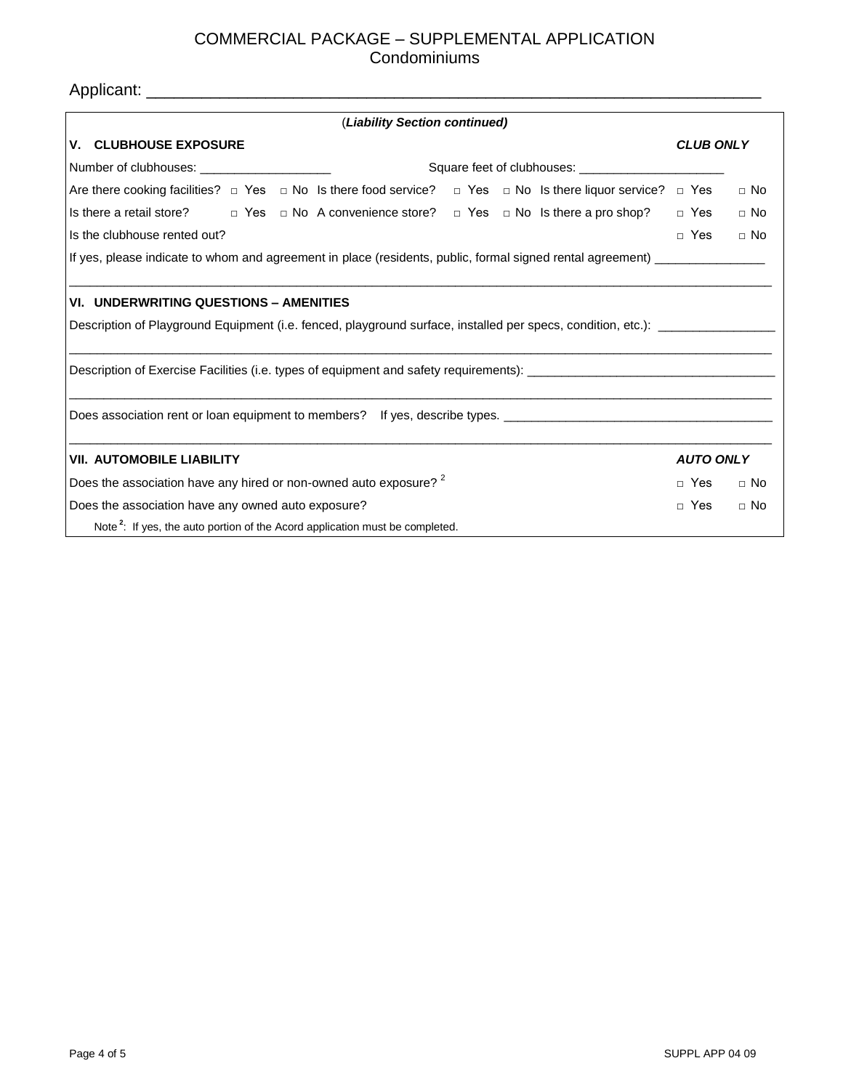## COMMERCIAL PACKAGE – SUPPLEMENTAL APPLICATION **Condominiums**

| (Liability Section continued)                                                                                                      |                    |           |  |  |  |  |  |
|------------------------------------------------------------------------------------------------------------------------------------|--------------------|-----------|--|--|--|--|--|
| <b>V. CLUBHOUSE EXPOSURE</b>                                                                                                       | <b>CLUB ONLY</b>   |           |  |  |  |  |  |
| Number of clubhouses: ________________________                                                                                     |                    |           |  |  |  |  |  |
| Are there cooking facilities? $\Box$ Yes $\Box$ No Is there food service? $\Box$ Yes $\Box$ No Is there liquor service? $\Box$ Yes |                    | $\Box$ No |  |  |  |  |  |
| Is there a retail store? $\Box$ Yes $\Box$ No A convenience store? $\Box$ Yes $\Box$ No Is there a pro shop?                       | □ Yes              | $\Box$ No |  |  |  |  |  |
| Is the clubhouse rented out?                                                                                                       | $\mathsf{\Pi}$ Yes | $\Box$ No |  |  |  |  |  |
| If yes, please indicate to whom and agreement in place (residents, public, formal signed rental agreement) _______________         |                    |           |  |  |  |  |  |
|                                                                                                                                    |                    |           |  |  |  |  |  |
| <b>VI. UNDERWRITING QUESTIONS - AMENITIES</b>                                                                                      |                    |           |  |  |  |  |  |
| Description of Playground Equipment (i.e. fenced, playground surface, installed per specs, condition, etc.): _______________       |                    |           |  |  |  |  |  |
|                                                                                                                                    |                    |           |  |  |  |  |  |
| Does association rent or loan equipment to members? If yes, describe types. __________________________________                     |                    |           |  |  |  |  |  |
| <b>VII. AUTOMOBILE LIABILITY</b>                                                                                                   | <b>AUTO ONLY</b>   |           |  |  |  |  |  |
| Does the association have any hired or non-owned auto exposure? <sup>2</sup>                                                       | □ Yes              | $\Box$ No |  |  |  |  |  |
| Does the association have any owned auto exposure?                                                                                 | □ Yes              | $\Box$ No |  |  |  |  |  |
| Note <sup>2</sup> : If yes, the auto portion of the Acord application must be completed.                                           |                    |           |  |  |  |  |  |